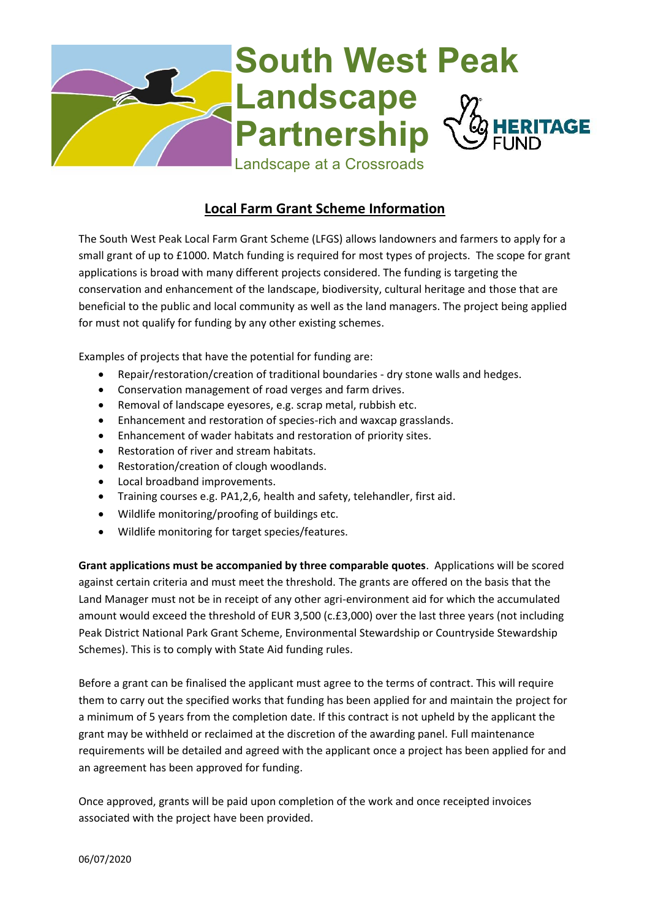

## **Local Farm Grant Scheme Information**

The South West Peak Local Farm Grant Scheme (LFGS) allows landowners and farmers to apply for a small grant of up to £1000. Match funding is required for most types of projects. The scope for grant applications is broad with many different projects considered. The funding is targeting the conservation and enhancement of the landscape, biodiversity, cultural heritage and those that are beneficial to the public and local community as well as the land managers. The project being applied for must not qualify for funding by any other existing schemes.

Examples of projects that have the potential for funding are:

- Repair/restoration/creation of traditional boundaries dry stone walls and hedges.
- Conservation management of road verges and farm drives.
- Removal of landscape eyesores, e.g. scrap metal, rubbish etc.
- Enhancement and restoration of species-rich and waxcap grasslands.
- Enhancement of wader habitats and restoration of priority sites.
- Restoration of river and stream habitats.
- Restoration/creation of clough woodlands.
- Local broadband improvements.
- Training courses e.g. PA1,2,6, health and safety, telehandler, first aid.
- Wildlife monitoring/proofing of buildings etc.
- Wildlife monitoring for target species/features.

**Grant applications must be accompanied by three comparable quotes**. Applications will be scored against certain criteria and must meet the threshold. The grants are offered on the basis that the Land Manager must not be in receipt of any other agri-environment aid for which the accumulated amount would exceed the threshold of EUR 3,500 (c.£3,000) over the last three years (not including Peak District National Park Grant Scheme, Environmental Stewardship or Countryside Stewardship Schemes). This is to comply with State Aid funding rules.

Before a grant can be finalised the applicant must agree to the terms of contract. This will require them to carry out the specified works that funding has been applied for and maintain the project for a minimum of 5 years from the completion date. If this contract is not upheld by the applicant the grant may be withheld or reclaimed at the discretion of the awarding panel. Full maintenance requirements will be detailed and agreed with the applicant once a project has been applied for and an agreement has been approved for funding.

Once approved, grants will be paid upon completion of the work and once receipted invoices associated with the project have been provided.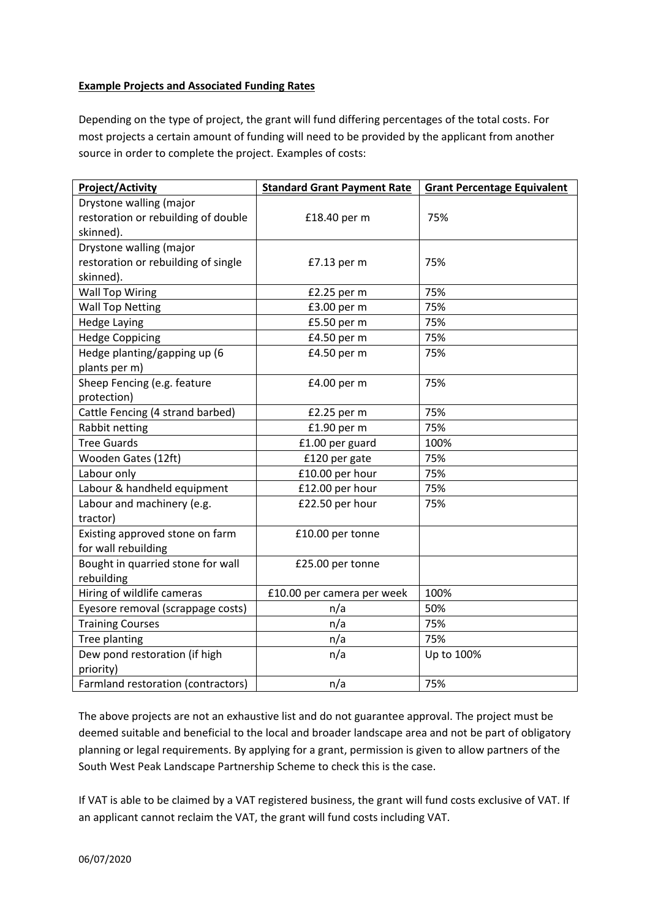## **Example Projects and Associated Funding Rates**

Depending on the type of project, the grant will fund differing percentages of the total costs. For most projects a certain amount of funding will need to be provided by the applicant from another source in order to complete the project. Examples of costs:

| <b>Project/Activity</b>             | <b>Standard Grant Payment Rate</b> | <b>Grant Percentage Equivalent</b> |
|-------------------------------------|------------------------------------|------------------------------------|
| Drystone walling (major             |                                    |                                    |
| restoration or rebuilding of double | £18.40 per m                       | 75%                                |
| skinned).                           |                                    |                                    |
| Drystone walling (major             |                                    |                                    |
| restoration or rebuilding of single | £7.13 per m                        | 75%                                |
| skinned).                           |                                    |                                    |
| <b>Wall Top Wiring</b>              | £2.25 per m                        | 75%                                |
| <b>Wall Top Netting</b>             | £3.00 per m                        | 75%                                |
| <b>Hedge Laying</b>                 | £5.50 per m                        | 75%                                |
| <b>Hedge Coppicing</b>              | £4.50 per m                        | 75%                                |
| Hedge planting/gapping up (6        | £4.50 per m                        | 75%                                |
| plants per m)                       |                                    |                                    |
| Sheep Fencing (e.g. feature         | £4.00 per m                        | 75%                                |
| protection)                         |                                    |                                    |
| Cattle Fencing (4 strand barbed)    | £2.25 per m                        | 75%                                |
| Rabbit netting                      | £1.90 per m                        | 75%                                |
| <b>Tree Guards</b>                  | £1.00 per guard                    | 100%                               |
| Wooden Gates (12ft)                 | £120 per gate                      | 75%                                |
| Labour only                         | £10.00 per hour                    | 75%                                |
| Labour & handheld equipment         | £12.00 per hour                    | 75%                                |
| Labour and machinery (e.g.          | £22.50 per hour                    | 75%                                |
| tractor)                            |                                    |                                    |
| Existing approved stone on farm     | £10.00 per tonne                   |                                    |
| for wall rebuilding                 |                                    |                                    |
| Bought in quarried stone for wall   | £25.00 per tonne                   |                                    |
| rebuilding                          |                                    |                                    |
| Hiring of wildlife cameras          | £10.00 per camera per week         | 100%                               |
| Eyesore removal (scrappage costs)   | n/a                                | 50%                                |
| <b>Training Courses</b>             | n/a                                | 75%                                |
| Tree planting                       | n/a                                | 75%                                |
| Dew pond restoration (if high       | n/a                                | Up to 100%                         |
| priority)                           |                                    |                                    |
| Farmland restoration (contractors)  | n/a                                | 75%                                |

The above projects are not an exhaustive list and do not guarantee approval. The project must be deemed suitable and beneficial to the local and broader landscape area and not be part of obligatory planning or legal requirements. By applying for a grant, permission is given to allow partners of the South West Peak Landscape Partnership Scheme to check this is the case.

If VAT is able to be claimed by a VAT registered business, the grant will fund costs exclusive of VAT. If an applicant cannot reclaim the VAT, the grant will fund costs including VAT.